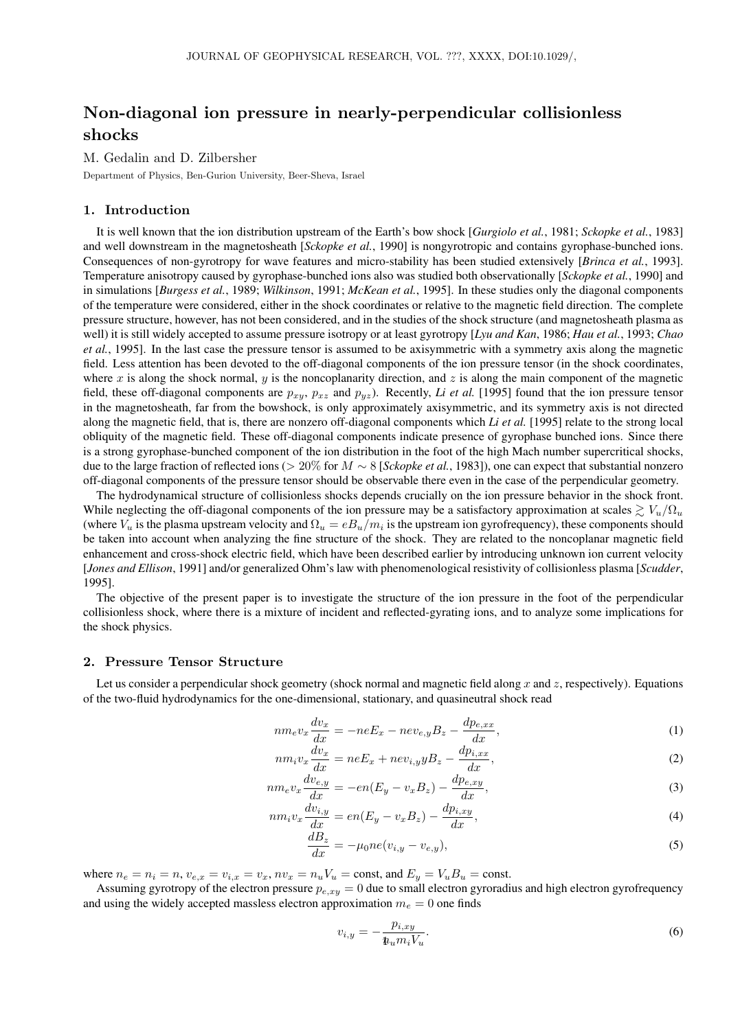# Non-diagonal ion pressure in nearly-perpendicular collisionless shocks

M. Gedalin and D. Zilbersher

Department of Physics, Ben-Gurion University, Beer-Sheva, Israel

# 1. Introduction

It is well known that the ion distribution upstream of the Earth's bow shock [*Gurgiolo et al.*, 1981; *Sckopke et al.*, 1983] and well downstream in the magnetosheath [*Sckopke et al.*, 1990] is nongyrotropic and contains gyrophase-bunched ions. Consequences of non-gyrotropy for wave features and micro-stability has been studied extensively [*Brinca et al.*, 1993]. Temperature anisotropy caused by gyrophase-bunched ions also was studied both observationally [*Sckopke et al.*, 1990] and in simulations [*Burgess et al.*, 1989; *Wilkinson*, 1991; *McKean et al.*, 1995]. In these studies only the diagonal components of the temperature were considered, either in the shock coordinates or relative to the magnetic field direction. The complete pressure structure, however, has not been considered, and in the studies of the shock structure (and magnetosheath plasma as well) it is still widely accepted to assume pressure isotropy or at least gyrotropy [*Lyu and Kan*, 1986; *Hau et al.*, 1993; *Chao et al.*, 1995]. In the last case the pressure tensor is assumed to be axisymmetric with a symmetry axis along the magnetic field. Less attention has been devoted to the off-diagonal components of the ion pressure tensor (in the shock coordinates, where x is along the shock normal, y is the noncoplanarity direction, and z is along the main component of the magnetic field, these off-diagonal components are  $p_{xy}$ ,  $p_{xz}$  and  $p_{yz}$ ). Recently, *Li et al.* [1995] found that the ion pressure tensor in the magnetosheath, far from the bowshock, is only approximately axisymmetric, and its symmetry axis is not directed along the magnetic field, that is, there are nonzero off-diagonal components which *Li et al.* [1995] relate to the strong local obliquity of the magnetic field. These off-diagonal components indicate presence of gyrophase bunched ions. Since there is a strong gyrophase-bunched component of the ion distribution in the foot of the high Mach number supercritical shocks, due to the large fraction of reflected ions (> 20% for M ∼ 8 [*Sckopke et al.*, 1983]), one can expect that substantial nonzero off-diagonal components of the pressure tensor should be observable there even in the case of the perpendicular geometry.

The hydrodynamical structure of collisionless shocks depends crucially on the ion pressure behavior in the shock front. While neglecting the off-diagonal components of the ion pressure may be a satisfactory approximation at scales  $\geq V_u/\Omega_u$ (where  $V_u$  is the plasma upstream velocity and  $\Omega_u = eB_u/m_i$  is the upstream ion gyrofrequency), these components should be taken into account when analyzing the fine structure of the shock. They are related to the noncoplanar magnetic field enhancement and cross-shock electric field, which have been described earlier by introducing unknown ion current velocity [*Jones and Ellison*, 1991] and/or generalized Ohm's law with phenomenological resistivity of collisionless plasma [*Scudder*, 1995].

The objective of the present paper is to investigate the structure of the ion pressure in the foot of the perpendicular collisionless shock, where there is a mixture of incident and reflected-gyrating ions, and to analyze some implications for the shock physics.

# 2. Pressure Tensor Structure

Let us consider a perpendicular shock geometry (shock normal and magnetic field along x and z, respectively). Equations of the two-fluid hydrodynamics for the one-dimensional, stationary, and quasineutral shock read

$$
nm_e v_x \frac{dv_x}{dx} = -neE_x - nev_{e,y}B_z - \frac{dp_{e,xx}}{dx},\tag{1}
$$

$$
nm_i v_x \frac{dv_x}{dx} = neE_x + nev_{i,y} yB_z - \frac{dp_{i,xx}}{dx},
$$
\n(2)

$$
nm_e v_x \frac{dv_{e,y}}{dx} = -en(E_y - v_x B_z) - \frac{dp_{e,xy}}{dx},\tag{3}
$$

$$
nm_i v_x \frac{dv_{i,y}}{dx} = en(E_y - v_x B_z) - \frac{dp_{i,xy}}{dx},\tag{4}
$$

$$
\frac{dE_z}{dx} = -\mu_0 n e(v_{i,y} - v_{e,y}),\tag{5}
$$

where  $n_e = n_i = n$ ,  $v_{e,x} = v_{i,x} = v_x$ ,  $nv_x = n_u V_u = \text{const}$ , and  $E_y = V_u B_u = \text{const}$ .

Assuming gyrotropy of the electron pressure  $p_{e,xy} = 0$  due to small electron gyroradius and high electron gyrofrequency and using the widely accepted massless electron approximation  $m_e = 0$  one finds

$$
v_{i,y} = -\frac{p_{i,xy}}{\mathbf{1}_u m_i V_u}.\tag{6}
$$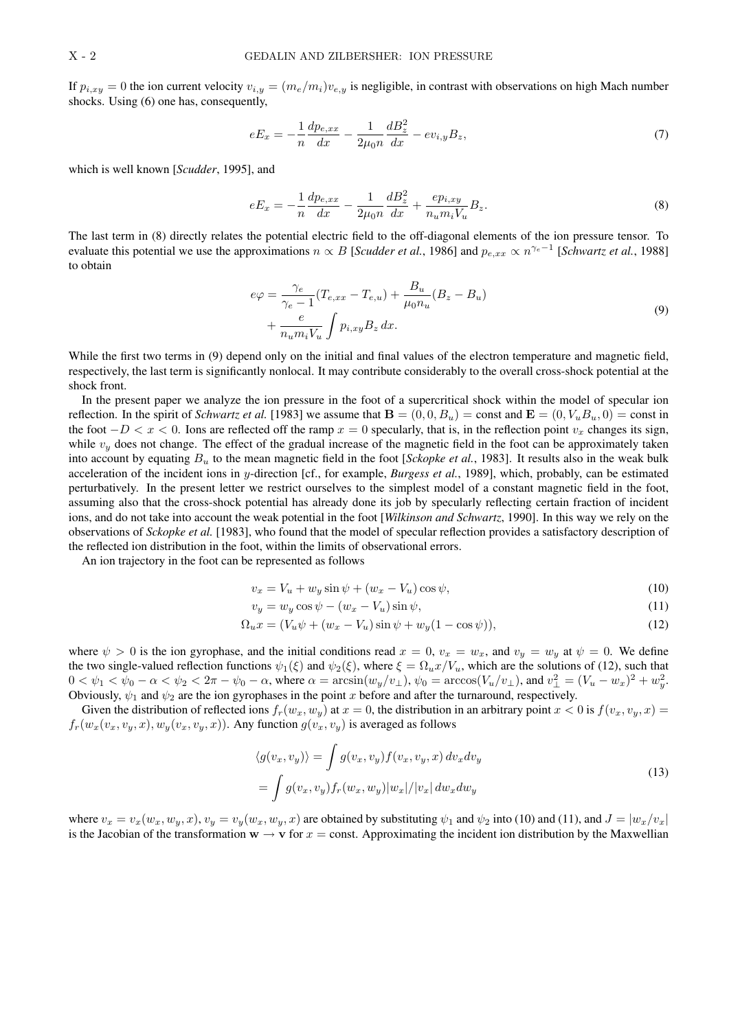If  $p_{i,xy} = 0$  the ion current velocity  $v_{i,y} = (m_e/m_i)v_{e,y}$  is negligible, in contrast with observations on high Mach number shocks. Using (6) one has, consequently,

$$
eE_x = -\frac{1}{n}\frac{dp_{e,xx}}{dx} - \frac{1}{2\mu_0 n}\frac{dB_z^2}{dx} - ev_{i,y}B_z,\tag{7}
$$

which is well known [*Scudder*, 1995], and

$$
eE_x = -\frac{1}{n}\frac{dp_{e,xx}}{dx} - \frac{1}{2\mu_0 n}\frac{dB_z^2}{dx} + \frac{ep_{i,xy}}{n_u m_i V_u}B_z.
$$
 (8)

The last term in (8) directly relates the potential electric field to the off-diagonal elements of the ion pressure tensor. To evaluate this potential we use the approximations  $n \propto B$  [*Scudder et al.*, 1986] and  $p_{e,xx} \propto n^{\gamma_e-1}$  [*Schwartz et al.*, 1988] to obtain

$$
e\varphi = \frac{\gamma_e}{\gamma_e - 1} (T_{e, xx} - T_{e, u}) + \frac{B_u}{\mu_0 n_u} (B_z - B_u)
$$
  
+ 
$$
\frac{e}{n_u m_i V_u} \int p_{i, xy} B_z dx.
$$
 (9)

While the first two terms in (9) depend only on the initial and final values of the electron temperature and magnetic field, respectively, the last term is significantly nonlocal. It may contribute considerably to the overall cross-shock potential at the shock front.

In the present paper we analyze the ion pressure in the foot of a supercritical shock within the model of specular ion reflection. In the spirit of *Schwartz et al.* [1983] we assume that  $\mathbf{B} = (0, 0, B_u) = \text{const}$  and  $\mathbf{E} = (0, V_u B_u, 0) = \text{const}$  in the foot  $-D < x < 0$ . Ions are reflected off the ramp  $x = 0$  specularly, that is, in the reflection point  $v_x$  changes its sign, while  $v_y$  does not change. The effect of the gradual increase of the magnetic field in the foot can be approximately taken into account by equating  $B_u$  to the mean magnetic field in the foot [*Sckopke et al.*, 1983]. It results also in the weak bulk acceleration of the incident ions in y-direction [cf., for example, *Burgess et al.*, 1989], which, probably, can be estimated perturbatively. In the present letter we restrict ourselves to the simplest model of a constant magnetic field in the foot, assuming also that the cross-shock potential has already done its job by specularly reflecting certain fraction of incident ions, and do not take into account the weak potential in the foot [*Wilkinson and Schwartz*, 1990]. In this way we rely on the observations of *Sckopke et al.* [1983], who found that the model of specular reflection provides a satisfactory description of the reflected ion distribution in the foot, within the limits of observational errors.

An ion trajectory in the foot can be represented as follows

$$
v_x = V_u + w_y \sin \psi + (w_x - V_u) \cos \psi,\tag{10}
$$

$$
v_y = w_y \cos \psi - (w_x - V_u) \sin \psi,\tag{11}
$$

$$
\Omega_u x = (V_u \psi + (w_x - V_u)\sin\psi + w_y(1 - \cos\psi)),\tag{12}
$$

where  $\psi > 0$  is the ion gyrophase, and the initial conditions read  $x = 0$ ,  $v_x = w_x$ , and  $v_y = w_y$  at  $\psi = 0$ . We define the two single-valued reflection functions  $\psi_1(\xi)$  and  $\psi_2(\xi)$ , where  $\xi = \Omega_u x/V_u$ , which are the solutions of (12), such that  $0 < \psi_1 < \psi_0 - \alpha < \psi_2 < 2\pi - \psi_0 - \alpha$ , where  $\alpha = \arcsin(w_y/v_\perp)$ ,  $\psi_0 = \arccos(V_u/v_\perp)$ , and  $v_\perp^2 = (V_u - w_x)^2 + w_y^2$ . Obviously,  $\psi_1$  and  $\psi_2$  are the ion gyrophases in the point x before and after the turnaround, respectively.

Given the distribution of reflected ions  $f_r(w_x, w_y)$  at  $x = 0$ , the distribution in an arbitrary point  $x < 0$  is  $f(v_x, v_y, x) =$  $f_r(w_x(v_x, v_y, x), w_y(v_x, v_y, x))$ . Any function  $g(v_x, v_y)$  is averaged as follows

$$
\langle g(v_x, v_y) \rangle = \int g(v_x, v_y) f(v_x, v_y, x) dv_x dv_y
$$
  
= 
$$
\int g(v_x, v_y) f_r(w_x, w_y) |w_x| / |v_x| dw_x dw_y
$$
 (13)

where  $v_x = v_x(w_x, w_y, x)$ ,  $v_y = v_y(w_x, w_y, x)$  are obtained by substituting  $\psi_1$  and  $\psi_2$  into (10) and (11), and  $J = |w_x/v_x|$ is the Jacobian of the transformation  $w \to v$  for  $x =$  const. Approximating the incident ion distribution by the Maxwellian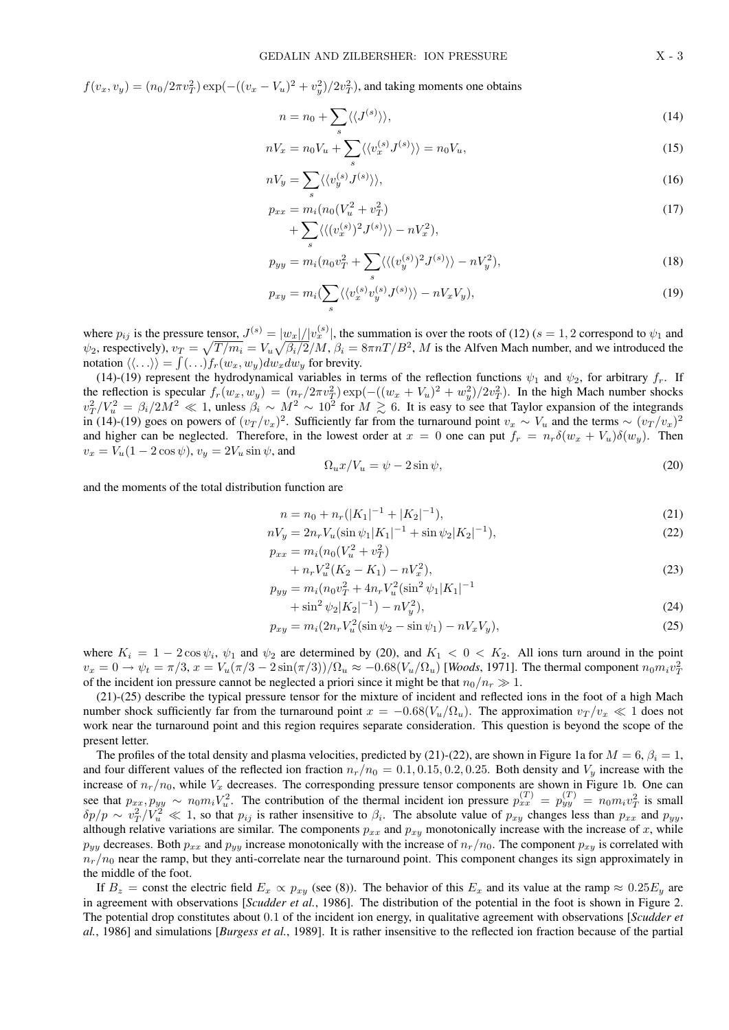$f(v_x, v_y) = (n_0/2\pi v_T^2) \exp(-( (v_x - V_u)^2 + v_y^2)/2v_T^2)$ , and taking moments one obtains

$$
n = n_0 + \sum_{s} \langle \langle J^{(s)} \rangle \rangle,
$$
\n(14)

$$
nV_x = n_0V_u + \sum_s \langle \langle v_x^{(s)} J^{(s)} \rangle \rangle = n_0V_u, \tag{15}
$$

$$
nV_y = \sum_s \langle \langle v_y^{(s)} J^{(s)} \rangle \rangle, \tag{16}
$$

$$
p_{xx} = m_i (n_0 (V_u^2 + v_T^2)
$$
  
+ 
$$
\sum \langle \langle (v_x^{(s)})^2 J^{(s)} \rangle \rangle - n V_x^2 \rangle,
$$
 (17)

+ 
$$
\sum_{s} \langle \langle (v_x^{(s)})^2 J^{(s)} \rangle \rangle - nV_x^2 \rangle
$$
,  
\n
$$
p_{yy} = m_i (n_0 v_T^2 + \sum \langle \langle (v_y^{(s)})^2 J^{(s)} \rangle \rangle - nV_y^2),
$$
\n(18)

$$
p_{xy} = m_i \left(\sum_{s} \langle \langle v_x^{(s)} v_y^{(s)} J^{(s)} \rangle \rangle - n V_x V_y \right),\tag{19}
$$

where  $p_{ij}$  is the pressure tensor,  $J^{(s)} = |w_x|/|v_x^{(s)}|$ , the summation is over the roots of (12) ( $s = 1, 2$  correspond to  $\psi_1$  and  $\psi_2$ , respectively),  $v_T = \sqrt{T/m_i} = V_u \sqrt{\beta_i/2}/M$ ,  $\beta_i = 8\pi n / B^2$ , M is the Alfven Mach number, and we introduced the notation  $\langle \langle \ldots \rangle \rangle = \int (\ldots) f_r(w_x, w_y) dw_x dw_y$  for brevity.

(14)-(19) represent the hydrodynamical variables in terms of the reflection functions  $\psi_1$  and  $\psi_2$ , for arbitrary  $f_r$ . If the reflection is specular  $f_r(w_x, w_y) = (n_r/2\pi v_T^2) \exp(-( (w_x + V_u)^2 + w_y^2)/2v_T^2)$ . In the high Mach number shocks  $v_T^2/V_u^2 = \beta_i/2M^2 \ll 1$ , unless  $\beta_i \sim M^2 \sim 10^2$  for  $M \gtrsim 6$ . It is easy to see that Taylor expansion of the integrands in (14)-(19) goes on powers of  $(v_T/v_x)^2$ . Sufficiently far from the turnaround point  $v_x \sim V_u$  and the terms ~  $(v_T/v_x)^2$ and higher can be neglected. Therefore, in the lowest order at  $x = 0$  one can put  $f_r = n_r \delta(w_x + V_u) \delta(w_y)$ . Then  $v_x = V_u(1 - 2\cos\psi), v_y = 2V_u\sin\psi$ , and

$$
\Omega_u x / V_u = \psi - 2 \sin \psi,\tag{20}
$$

and the moments of the total distribution function are

$$
n = n_0 + n_r(|K_1|^{-1} + |K_2|^{-1}),\tag{21}
$$

$$
nV_y = 2n_r V_u (\sin \psi_1 |K_1|^{-1} + \sin \psi_2 |K_2|^{-1}),
$$
  
\n
$$
p_{xx} = m_i (n_0 (V_u^2 + v_T^2))
$$
\n(22)

$$
+ n_r V_u^2 (K_2 - K_1) - n V_x^2), \tag{23}
$$

$$
p_{yy} = m_i (n_0 v_T^2 + 4n_r V_u^2 (\sin^2 \psi_1 |K_1|^{-1})
$$

$$
+\sin^2\psi_2|K_2|^{-1}) - nV_y^2\big),\tag{24}
$$

$$
p_{xy} = m_i (2n_r V_u^2 (\sin \psi_2 - \sin \psi_1) - nV_x V_y), \tag{25}
$$

where  $K_i = 1 - 2\cos\psi_i$ ,  $\psi_1$  and  $\psi_2$  are determined by (20), and  $K_1 < 0 < K_2$ . All ions turn around in the point  $v_x = 0 \to \psi_t = \pi/3$ ,  $x = V_u(\pi/3 - 2\sin(\pi/3))/\Omega_u \approx -0.68(V_u/\Omega_u)$  [Woods, 1971]. The thermal component  $n_0 m_i v_T^2$ of the incident ion pressure cannot be neglected a priori since it might be that  $n_0/n_r \gg 1$ .

(21)-(25) describe the typical pressure tensor for the mixture of incident and reflected ions in the foot of a high Mach number shock sufficiently far from the turnaround point  $x = -0.68(V_u/\Omega_u)$ . The approximation  $v_T/v_x \ll 1$  does not work near the turnaround point and this region requires separate consideration. This question is beyond the scope of the present letter.

The profiles of the total density and plasma velocities, predicted by (21)-(22), are shown in Figure 1a for  $M = 6$ ,  $\beta_i = 1$ , and four different values of the reflected ion fraction  $n_r/n_0 = 0.1, 0.15, 0.2, 0.25$ . Both density and  $V_y$  increase with the increase of  $n_r/n_0$ , while  $V_x$  decreases. The corresponding pressure tensor components are shown in Figure 1b. One can see that  $p_{xx}, p_{yy} \sim n_0 m_i V_u^2$ . The contribution of the thermal incident ion pressure  $p_{xx}^{(T)} = p_{yy}^{(T)} = n_0 m_i v_T^2$  is small  $\delta p/p \sim v_T^2/\overline{V_u^2} \ll 1$ , so that  $p_{ij}$  is rather insensitive to  $\beta_i$ . The absolute value of  $p_{xy}$  changes less than  $p_{xx}$  and  $p_{yy}$ , although relative variations are similar. The components  $p_{xx}$  and  $p_{xy}$  monotonically increase with the increase of x, while  $p_{yy}$  decreases. Both  $p_{xx}$  and  $p_{yy}$  increase monotonically with the increase of  $n_r/n_0$ . The component  $p_{xy}$  is correlated with  $n_r/n_0$  near the ramp, but they anti-correlate near the turnaround point. This component changes its sign approximately in the middle of the foot.

If  $B_z$  = const the electric field  $E_x \propto p_{xy}$  (see (8)). The behavior of this  $E_x$  and its value at the ramp  $\approx 0.25E_y$  are in agreement with observations [*Scudder et al.*, 1986]. The distribution of the potential in the foot is shown in Figure 2. The potential drop constitutes about 0.1 of the incident ion energy, in qualitative agreement with observations [*Scudder et al.*, 1986] and simulations [*Burgess et al.*, 1989]. It is rather insensitive to the reflected ion fraction because of the partial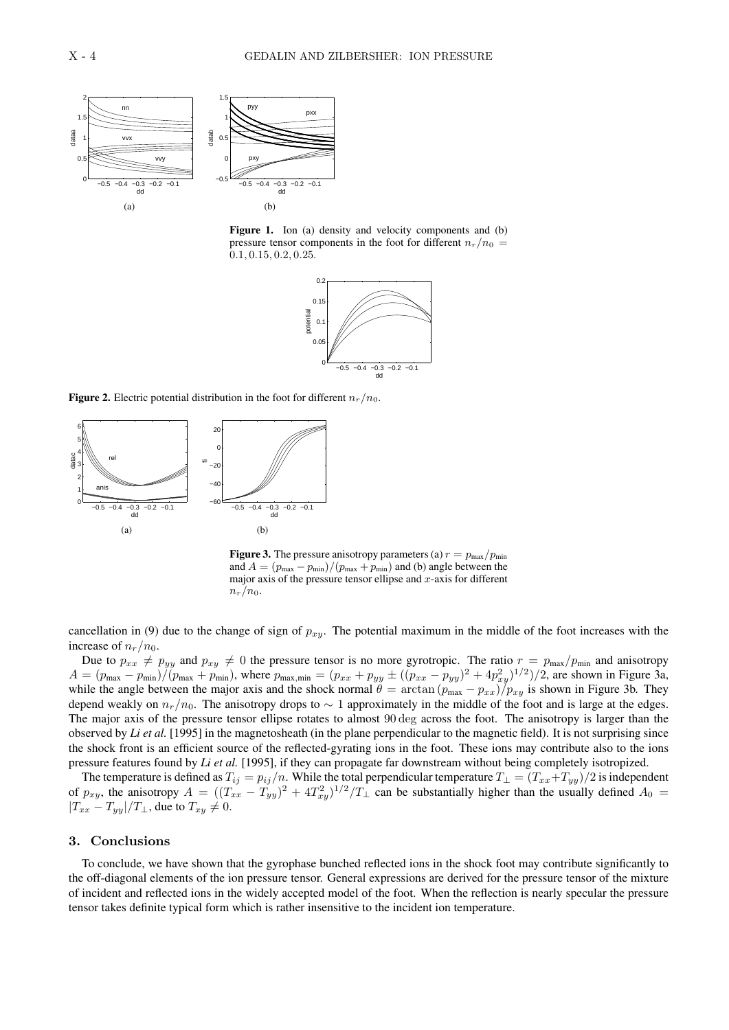



Figure 1. Ion (a) density and velocity components and (b) pressure tensor components in the foot for different  $n_r/n_0 =$ 0.1, 0.15, 0.2, 0.25.



**Figure 2.** Electric potential distribution in the foot for different  $n_r/n_0$ .



**Figure 3.** The pressure anisotropy parameters (a)  $r = p_{\text{max}}/p_{\text{min}}$ and  $A = (p_{\text{max}} - p_{\text{min}})/(p_{\text{max}} + p_{\text{min}})$  and (b) angle between the major axis of the pressure tensor ellipse and  $x$ -axis for different  $n_r/n_0$ .

cancellation in (9) due to the change of sign of  $p_{x,y}$ . The potential maximum in the middle of the foot increases with the increase of  $n_r/n_0$ .

Due to  $p_{xx} \neq p_{yy}$  and  $p_{xy} \neq 0$  the pressure tensor is no more gyrotropic. The ratio  $r = p_{\text{max}}/p_{\text{min}}$  and anisotropy  $A = (p_{\text{max}} - p_{\text{min}})/(p_{\text{max}} + p_{\text{min}})$ , where  $p_{\text{max,min}} = (p_{xx} + p_{yy} \pm ((p_{xx} - p_{yy})^2 + 4p_{xy}^2)^{1/2})/2$ , are shown in Figure 3a, while the angle between the major axis and the shock normal  $\theta = \arctan(p_{\text{max}} - p_{xx})/p_{xy}$  is shown in Figure 3b. They depend weakly on  $n_r/n_0$ . The anisotropy drops to  $\sim 1$  approximately in the middle of the foot and is large at the edges. The major axis of the pressure tensor ellipse rotates to almost 90 deg across the foot. The anisotropy is larger than the observed by *Li et al.* [1995] in the magnetosheath (in the plane perpendicular to the magnetic field). It is not surprising since the shock front is an efficient source of the reflected-gyrating ions in the foot. These ions may contribute also to the ions pressure features found by *Li et al.* [1995], if they can propagate far downstream without being completely isotropized.

The temperature is defined as  $T_{ij} = p_{ij}/n$ . While the total perpendicular temperature  $T_\perp = (T_{xx} + T_{yy})/2$  is independent of  $p_{xy}$ , the anisotropy  $A = ((T_{xx} - T_{yy})^2 + 4T_{xy}^2)^{1/2}/T_{\perp}$  can be substantially higher than the usually defined  $A_0 =$  $|T_{xx} - T_{yy}|/T_{\perp}$ , due to  $T_{xy} \neq 0$ .

# 3. Conclusions

To conclude, we have shown that the gyrophase bunched reflected ions in the shock foot may contribute significantly to the off-diagonal elements of the ion pressure tensor. General expressions are derived for the pressure tensor of the mixture of incident and reflected ions in the widely accepted model of the foot. When the reflection is nearly specular the pressure tensor takes definite typical form which is rather insensitive to the incident ion temperature.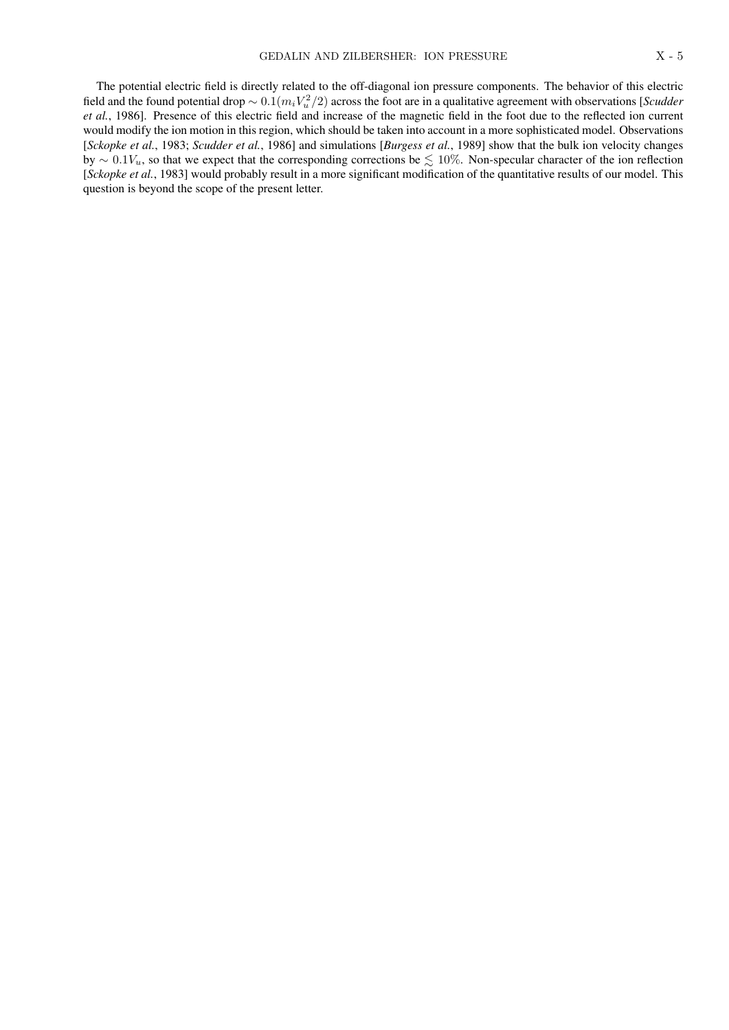The potential electric field is directly related to the off-diagonal ion pressure components. The behavior of this electric field and the found potential drop  $\sim 0.1(m_iV_u^2/2)$  across the foot are in a qualitative agreement with observations [*Scudder et al.*, 1986]. Presence of this electric field and increase of the magnetic field in the foot due to the reflected ion current would modify the ion motion in this region, which should be taken into account in a more sophisticated model. Observations [*Sckopke et al.*, 1983; *Scudder et al.*, 1986] and simulations [*Burgess et al.*, 1989] show that the bulk ion velocity changes by ∼ 0.1 $V_u$ , so that we expect that the corresponding corrections be  $\leq 10\%$ . Non-specular character of the ion reflection [*Sckopke et al.*, 1983] would probably result in a more significant modification of the quantitative results of our model. This question is beyond the scope of the present letter.